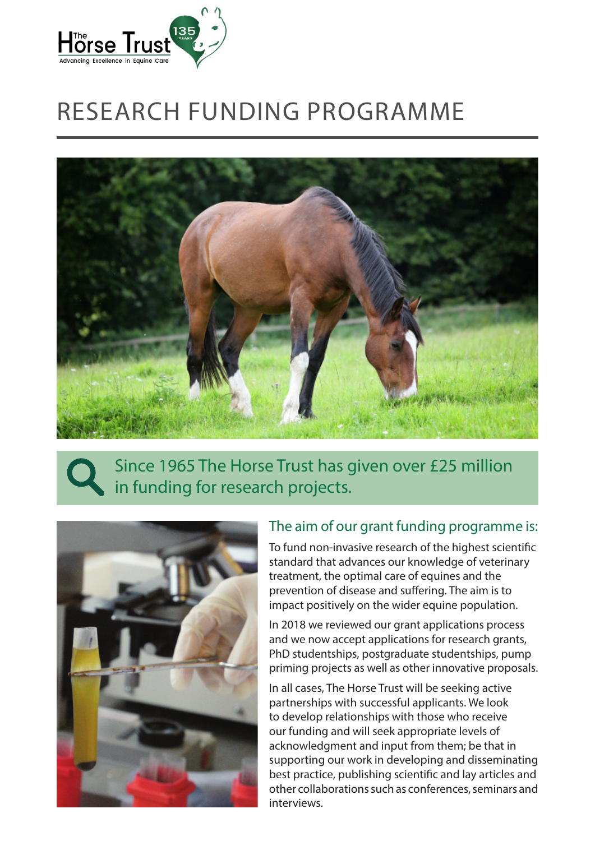

# RESEARCH FUNDING PROGRAMME



## Since 1965 The Horse Trust has given over £25 million in funding for research projects.



#### The aim of our grant funding programme is:

To fund non-invasive research of the highest scientific standard that advances our knowledge of veterinary treatment, the optimal care of equines and the prevention of disease and suffering. The aim is to impact positively on the wider equine population.

In 2018 we reviewed our grant applications process and we now accept applications for research grants, PhD studentships, postgraduate studentships, pump priming projects as well as other innovative proposals.

In all cases, The Horse Trust will be seeking active partnerships with successful applicants. We look to develop relationships with those who receive our funding and will seek appropriate levels of acknowledgment and input from them; be that in supporting our work in developing and disseminating best practice, publishing scientific and lay articles and other collaborations such as conferences, seminars and interviews.